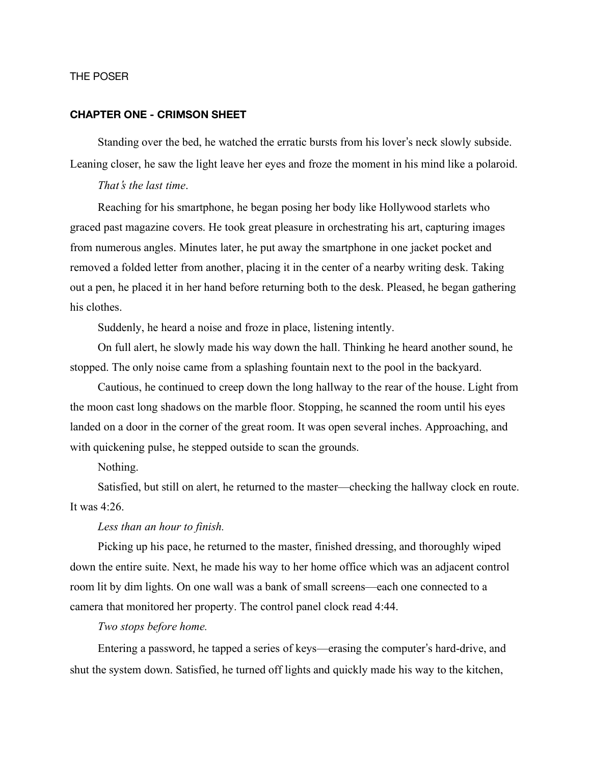# THE POSER

# **CHAPTER ONE - CRIMSON SHEET**

Standing over the bed, he watched the erratic bursts from his lover's neck slowly subside. Leaning closer, he saw the light leave her eyes and froze the moment in his mind like a polaroid.

*That*'*s the last time*.

Reaching for his smartphone, he began posing her body like Hollywood starlets who graced past magazine covers. He took great pleasure in orchestrating his art, capturing images from numerous angles. Minutes later, he put away the smartphone in one jacket pocket and removed a folded letter from another, placing it in the center of a nearby writing desk. Taking out a pen, he placed it in her hand before returning both to the desk. Pleased, he began gathering his clothes.

Suddenly, he heard a noise and froze in place, listening intently.

On full alert, he slowly made his way down the hall. Thinking he heard another sound, he stopped. The only noise came from a splashing fountain next to the pool in the backyard.

Cautious, he continued to creep down the long hallway to the rear of the house. Light from the moon cast long shadows on the marble floor. Stopping, he scanned the room until his eyes landed on a door in the corner of the great room. It was open several inches. Approaching, and with quickening pulse, he stepped outside to scan the grounds.

Nothing.

Satisfied, but still on alert, he returned to the master—checking the hallway clock en route. It was 4:26.

*Less than an hour to finish.*

Picking up his pace, he returned to the master, finished dressing, and thoroughly wiped down the entire suite. Next, he made his way to her home office which was an adjacent control room lit by dim lights. On one wall was a bank of small screens—each one connected to a camera that monitored her property. The control panel clock read 4:44.

*Two stops before home.*

Entering a password, he tapped a series of keys—erasing the computer's hard-drive, and shut the system down. Satisfied, he turned off lights and quickly made his way to the kitchen,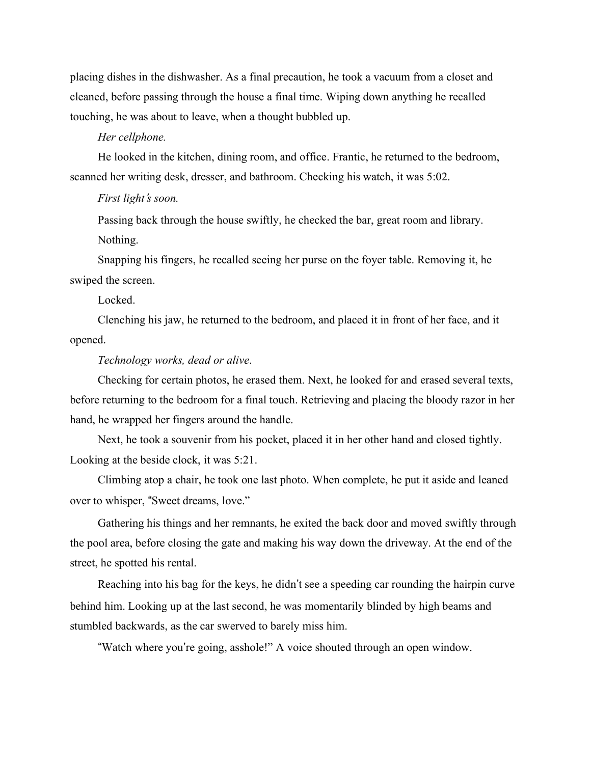placing dishes in the dishwasher. As a final precaution, he took a vacuum from a closet and cleaned, before passing through the house a final time. Wiping down anything he recalled touching, he was about to leave, when a thought bubbled up.

#### *Her cellphone.*

He looked in the kitchen, dining room, and office. Frantic, he returned to the bedroom, scanned her writing desk, dresser, and bathroom. Checking his watch, it was 5:02.

# *First light*'*s soon.*

Passing back through the house swiftly, he checked the bar, great room and library. Nothing.

Snapping his fingers, he recalled seeing her purse on the foyer table. Removing it, he swiped the screen.

Locked.

Clenching his jaw, he returned to the bedroom, and placed it in front of her face, and it opened.

# *Technology works, dead or alive*.

Checking for certain photos, he erased them. Next, he looked for and erased several texts, before returning to the bedroom for a final touch. Retrieving and placing the bloody razor in her hand, he wrapped her fingers around the handle.

Next, he took a souvenir from his pocket, placed it in her other hand and closed tightly. Looking at the beside clock, it was 5:21.

Climbing atop a chair, he took one last photo. When complete, he put it aside and leaned over to whisper, "Sweet dreams, love."

Gathering his things and her remnants, he exited the back door and moved swiftly through the pool area, before closing the gate and making his way down the driveway. At the end of the street, he spotted his rental.

Reaching into his bag for the keys, he didn't see a speeding car rounding the hairpin curve behind him. Looking up at the last second, he was momentarily blinded by high beams and stumbled backwards, as the car swerved to barely miss him.

"Watch where you're going, asshole!" A voice shouted through an open window.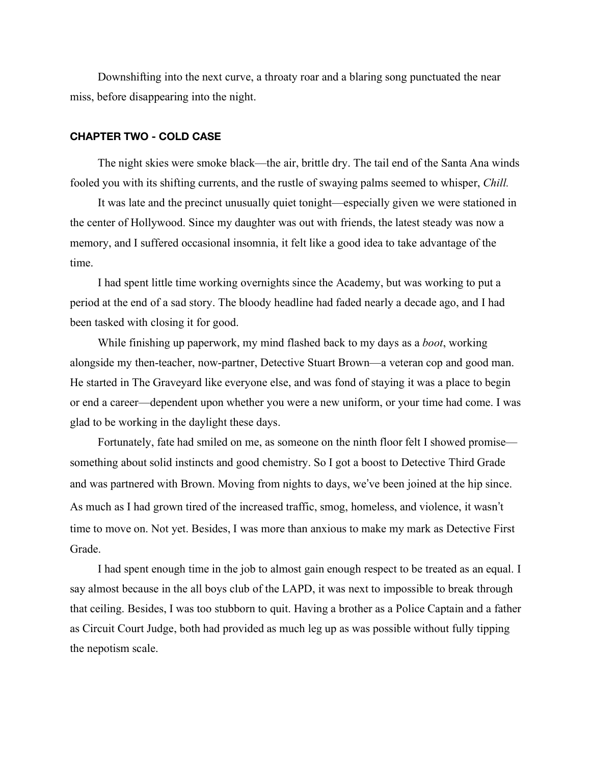Downshifting into the next curve, a throaty roar and a blaring song punctuated the near miss, before disappearing into the night.

#### **CHAPTER TWO - COLD CASE**

The night skies were smoke black—the air, brittle dry. The tail end of the Santa Ana winds fooled you with its shifting currents, and the rustle of swaying palms seemed to whisper, *Chill.*

It was late and the precinct unusually quiet tonight—especially given we were stationed in the center of Hollywood. Since my daughter was out with friends, the latest steady was now a memory, and I suffered occasional insomnia, it felt like a good idea to take advantage of the time.

I had spent little time working overnights since the Academy, but was working to put a period at the end of a sad story. The bloody headline had faded nearly a decade ago, and I had been tasked with closing it for good.

While finishing up paperwork, my mind flashed back to my days as a *boot*, working alongside my then-teacher, now-partner, Detective Stuart Brown—a veteran cop and good man. He started in The Graveyard like everyone else, and was fond of staying it was a place to begin or end a career—dependent upon whether you were a new uniform, or your time had come. I was glad to be working in the daylight these days.

Fortunately, fate had smiled on me, as someone on the ninth floor felt I showed promise something about solid instincts and good chemistry. So I got a boost to Detective Third Grade and was partnered with Brown. Moving from nights to days, we've been joined at the hip since. As much as I had grown tired of the increased traffic, smog, homeless, and violence, it wasn't time to move on. Not yet. Besides, I was more than anxious to make my mark as Detective First Grade.

I had spent enough time in the job to almost gain enough respect to be treated as an equal. I say almost because in the all boys club of the LAPD, it was next to impossible to break through that ceiling. Besides, I was too stubborn to quit. Having a brother as a Police Captain and a father as Circuit Court Judge, both had provided as much leg up as was possible without fully tipping the nepotism scale.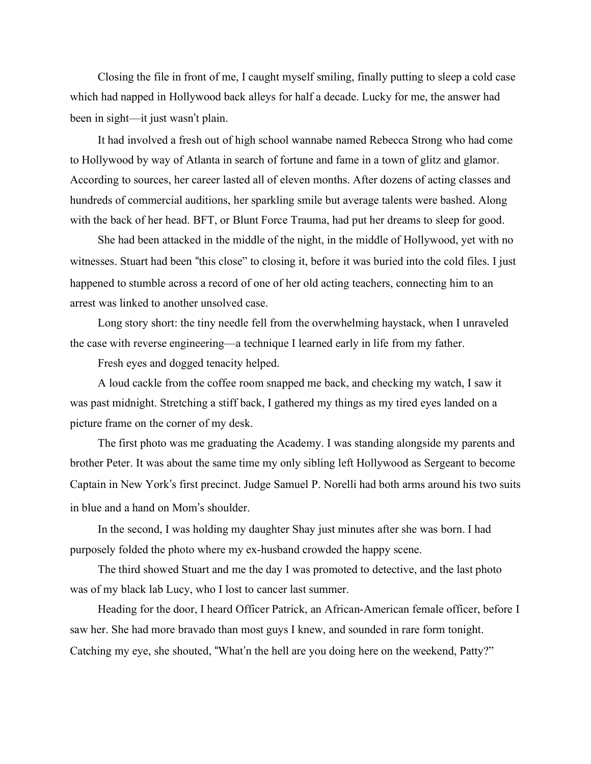Closing the file in front of me, I caught myself smiling, finally putting to sleep a cold case which had napped in Hollywood back alleys for half a decade. Lucky for me, the answer had been in sight—it just wasn't plain.

It had involved a fresh out of high school wannabe named Rebecca Strong who had come to Hollywood by way of Atlanta in search of fortune and fame in a town of glitz and glamor. According to sources, her career lasted all of eleven months. After dozens of acting classes and hundreds of commercial auditions, her sparkling smile but average talents were bashed. Along with the back of her head. BFT, or Blunt Force Trauma, had put her dreams to sleep for good.

She had been attacked in the middle of the night, in the middle of Hollywood, yet with no witnesses. Stuart had been "this close" to closing it, before it was buried into the cold files. I just happened to stumble across a record of one of her old acting teachers, connecting him to an arrest was linked to another unsolved case.

Long story short: the tiny needle fell from the overwhelming haystack, when I unraveled the case with reverse engineering—a technique I learned early in life from my father.

Fresh eyes and dogged tenacity helped.

A loud cackle from the coffee room snapped me back, and checking my watch, I saw it was past midnight. Stretching a stiff back, I gathered my things as my tired eyes landed on a picture frame on the corner of my desk.

The first photo was me graduating the Academy. I was standing alongside my parents and brother Peter. It was about the same time my only sibling left Hollywood as Sergeant to become Captain in New York's first precinct. Judge Samuel P. Norelli had both arms around his two suits in blue and a hand on Mom's shoulder.

In the second, I was holding my daughter Shay just minutes after she was born. I had purposely folded the photo where my ex-husband crowded the happy scene.

The third showed Stuart and me the day I was promoted to detective, and the last photo was of my black lab Lucy, who I lost to cancer last summer.

Heading for the door, I heard Officer Patrick, an African-American female officer, before I saw her. She had more bravado than most guys I knew, and sounded in rare form tonight. Catching my eye, she shouted, "What'n the hell are you doing here on the weekend, Patty?"